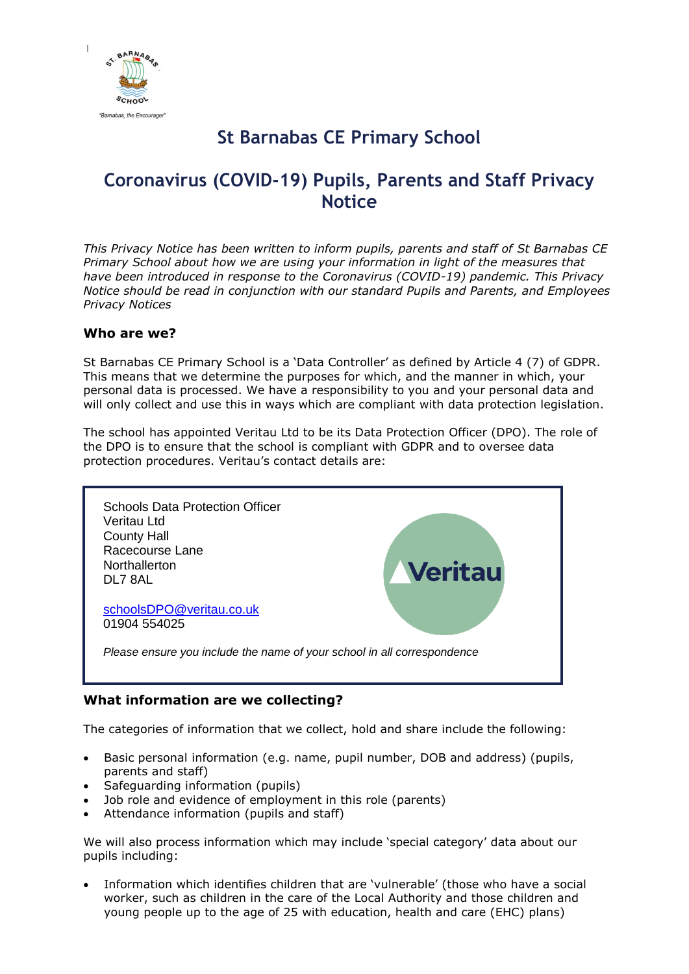

# **St Barnabas CE Primary School**

# **Coronavirus (COVID-19) Pupils, Parents and Staff Privacy Notice**

*This Privacy Notice has been written to inform pupils, parents and staff of St Barnabas CE Primary School about how we are using your information in light of the measures that have been introduced in response to the Coronavirus (COVID-19) pandemic. This Privacy Notice should be read in conjunction with our standard Pupils and Parents, and Employees Privacy Notices* 

## **Who are we?**

St Barnabas CE Primary School is a 'Data Controller' as defined by Article 4 (7) of GDPR. This means that we determine the purposes for which, and the manner in which, your personal data is processed. We have a responsibility to you and your personal data and will only collect and use this in ways which are compliant with data protection legislation.

The school has appointed Veritau Ltd to be its Data Protection Officer (DPO). The role of the DPO is to ensure that the school is compliant with GDPR and to oversee data protection procedures. Veritau's contact details are:



## **What information are we collecting?**

The categories of information that we collect, hold and share include the following:

- Basic personal information (e.g. name, pupil number, DOB and address) (pupils, parents and staff)
- Safeguarding information (pupils)
- Job role and evidence of employment in this role (parents)
- Attendance information (pupils and staff)

We will also process information which may include 'special category' data about our pupils including:

 Information which identifies children that are 'vulnerable' (those who have a social worker, such as children in the care of the Local Authority and those children and young people up to the age of 25 with education, health and care (EHC) plans)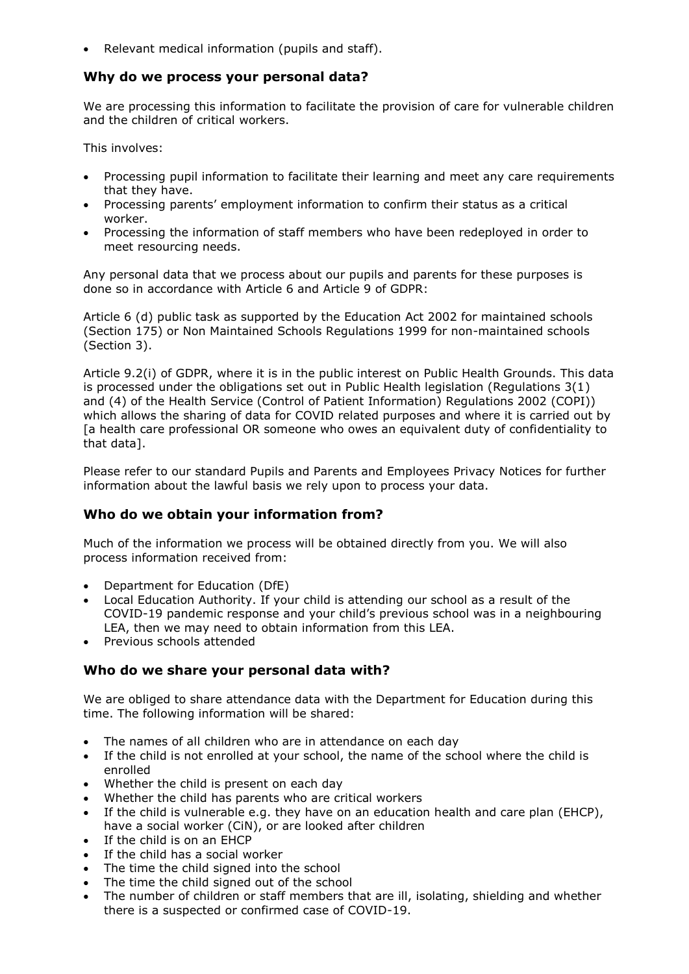• Relevant medical information (pupils and staff).

#### **Why do we process your personal data?**

We are processing this information to facilitate the provision of care for vulnerable children and the children of critical workers.

This involves:

- Processing pupil information to facilitate their learning and meet any care requirements that they have.
- Processing parents' employment information to confirm their status as a critical worker.
- Processing the information of staff members who have been redeployed in order to meet resourcing needs.

Any personal data that we process about our pupils and parents for these purposes is done so in accordance with Article 6 and Article 9 of GDPR:

Article 6 (d) public task as supported by the Education Act 2002 for maintained schools (Section 175) or Non Maintained Schools Regulations 1999 for non-maintained schools (Section 3).

Article 9.2(i) of GDPR, where it is in the public interest on Public Health Grounds. This data is processed under the obligations set out in Public Health legislation (Regulations 3(1) and (4) of the Health Service (Control of Patient Information) Regulations 2002 (COPI)) which allows the sharing of data for COVID related purposes and where it is carried out by [a health care professional OR someone who owes an equivalent duty of confidentiality to that data].

Please refer to our standard Pupils and Parents and Employees Privacy Notices for further information about the lawful basis we rely upon to process your data.

### **Who do we obtain your information from?**

Much of the information we process will be obtained directly from you. We will also process information received from:

- Department for Education (DfE)
- Local Education Authority. If your child is attending our school as a result of the COVID-19 pandemic response and your child's previous school was in a neighbouring LEA, then we may need to obtain information from this LEA.
- Previous schools attended

### **Who do we share your personal data with?**

We are obliged to share attendance data with the Department for Education during this time. The following information will be shared:

- The names of all children who are in attendance on each day
- If the child is not enrolled at your school, the name of the school where the child is enrolled
- Whether the child is present on each day
- Whether the child has parents who are critical workers
- If the child is vulnerable e.g. they have on an education health and care plan (EHCP), have a social worker (CiN), or are looked after children
- $\bullet$  If the child is on an EHCP
- If the child has a social worker
- The time the child signed into the school
- The time the child signed out of the school
- The number of children or staff members that are ill, isolating, shielding and whether there is a suspected or confirmed case of COVID-19.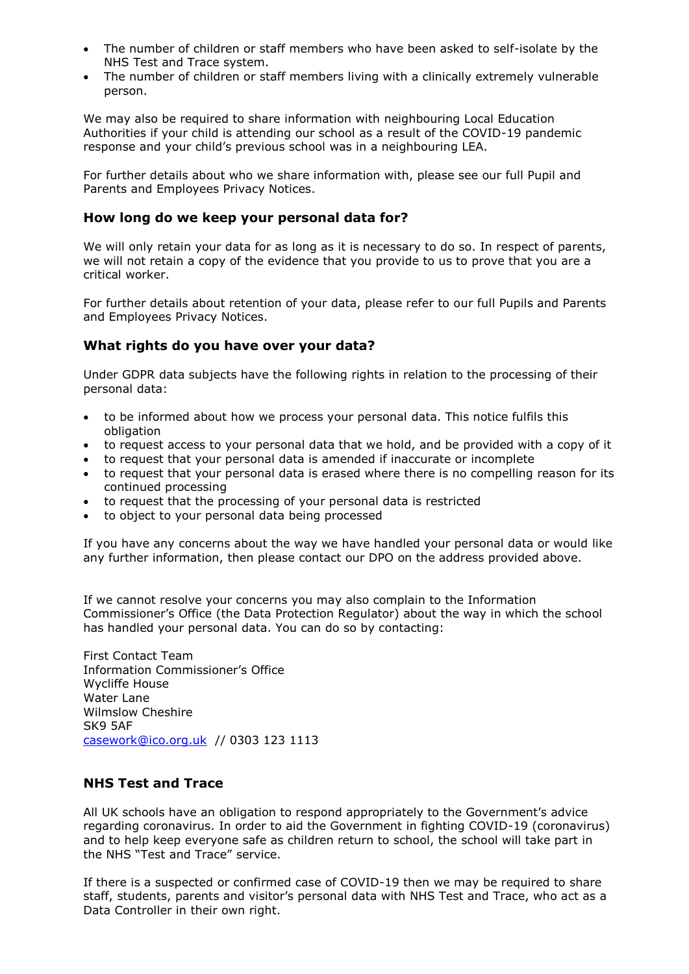- The number of children or staff members who have been asked to self-isolate by the NHS Test and Trace system.
- The number of children or staff members living with a clinically extremely vulnerable person.

We may also be required to share information with neighbouring Local Education Authorities if your child is attending our school as a result of the COVID-19 pandemic response and your child's previous school was in a neighbouring LEA.

For further details about who we share information with, please see our full Pupil and Parents and Employees Privacy Notices.

#### **How long do we keep your personal data for?**

We will only retain your data for as long as it is necessary to do so. In respect of parents, we will not retain a copy of the evidence that you provide to us to prove that you are a critical worker.

For further details about retention of your data, please refer to our full Pupils and Parents and Employees Privacy Notices.

### **What rights do you have over your data?**

Under GDPR data subjects have the following rights in relation to the processing of their personal data:

- to be informed about how we process your personal data. This notice fulfils this obligation
- to request access to your personal data that we hold, and be provided with a copy of it
- to request that your personal data is amended if inaccurate or incomplete
- to request that your personal data is erased where there is no compelling reason for its continued processing
- to request that the processing of your personal data is restricted
- to object to your personal data being processed

If you have any concerns about the way we have handled your personal data or would like any further information, then please contact our DPO on the address provided above.

If we cannot resolve your concerns you may also complain to the Information Commissioner's Office (the Data Protection Regulator) about the way in which the school has handled your personal data. You can do so by contacting:

First Contact Team Information Commissioner's Office Wycliffe House Water Lane Wilmslow Cheshire SK9 5AF [casework@ico.org.uk](mailto:casework@ico.org.uk) // 0303 123 1113

### **NHS Test and Trace**

All UK schools have an obligation to respond appropriately to the Government's advice regarding coronavirus. In order to aid the Government in fighting COVID-19 (coronavirus) and to help keep everyone safe as children return to school, the school will take part in the NHS "Test and Trace" service.

If there is a suspected or confirmed case of COVID-19 then we may be required to share staff, students, parents and visitor's personal data with NHS Test and Trace, who act as a Data Controller in their own right.